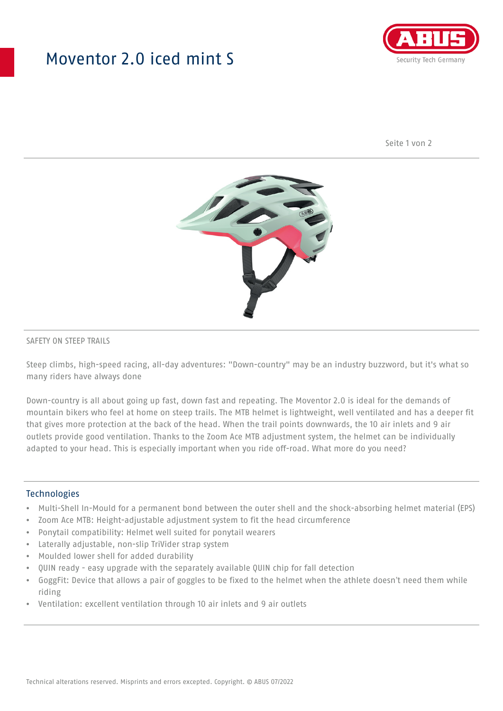## Moventor 2.0 iced mint S



Seite 1 von 2



#### SAFETY ON STEEP TRAILS

Steep climbs, high-speed racing, all-day adventures: "Down-country" may be an industry buzzword, but it's what so many riders have always done

Down-country is all about going up fast, down fast and repeating. The Moventor 2.0 is ideal for the demands of mountain bikers who feel at home on steep trails. The MTB helmet is lightweight, well ventilated and has a deeper fit that gives more protection at the back of the head. When the trail points downwards, the 10 air inlets and 9 air outlets provide good ventilation. Thanks to the Zoom Ace MTB adjustment system, the helmet can be individually adapted to your head. This is especially important when you ride off-road. What more do you need?

#### **Technologies**

- Multi-Shell In-Mould for a permanent bond between the outer shell and the shock-absorbing helmet material (EPS)
- Zoom Ace MTB: Height-adjustable adjustment system to fit the head circumference
- Ponytail compatibility: Helmet well suited for ponytail wearers
- Laterally adjustable, non-slip TriVider strap system
- Moulded lower shell for added durability
- QUIN ready easy upgrade with the separately available QUIN chip for fall detection
- GoggFit: Device that allows a pair of goggles to be fixed to the helmet when the athlete doesn't need them while riding
- Ventilation: excellent ventilation through 10 air inlets and 9 air outlets